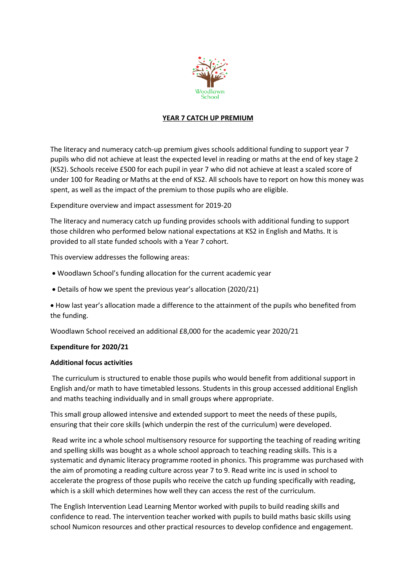

## **YEAR 7 CATCH UP PREMIUM**

The literacy and numeracy catch-up premium gives schools additional funding to support year 7 pupils who did not achieve at least the expected level in reading or maths at the end of key stage 2 (KS2). Schools receive £500 for each pupil in year 7 who did not achieve at least a scaled score of under 100 for Reading or Maths at the end of KS2. All schools have to report on how this money was spent, as well as the impact of the premium to those pupils who are eligible.

Expenditure overview and impact assessment for 2019-20

The literacy and numeracy catch up funding provides schools with additional funding to support those children who performed below national expectations at KS2 in English and Maths. It is provided to all state funded schools with a Year 7 cohort.

This overview addresses the following areas:

- Woodlawn School's funding allocation for the current academic year
- Details of how we spent the previous year's allocation (2020/21)

 How last year's allocation made a difference to the attainment of the pupils who benefited from the funding.

Woodlawn School received an additional £8,000 for the academic year 2020/21

## **Expenditure for 2020/21**

## **Additional focus activities**

The curriculum is structured to enable those pupils who would benefit from additional support in English and/or math to have timetabled lessons. Students in this group accessed additional English and maths teaching individually and in small groups where appropriate.

This small group allowed intensive and extended support to meet the needs of these pupils, ensuring that their core skills (which underpin the rest of the curriculum) were developed.

Read write inc a whole school multisensory resource for supporting the teaching of reading writing and spelling skills was bought as a whole school approach to teaching reading skills. This is a systematic and dynamic literacy programme rooted in phonics. This programme was purchased with the aim of promoting a reading culture across year 7 to 9. Read write inc is used in school to accelerate the progress of those pupils who receive the catch up funding specifically with reading, which is a skill which determines how well they can access the rest of the curriculum.

The English Intervention Lead Learning Mentor worked with pupils to build reading skills and confidence to read. The intervention teacher worked with pupils to build maths basic skills using school Numicon resources and other practical resources to develop confidence and engagement.